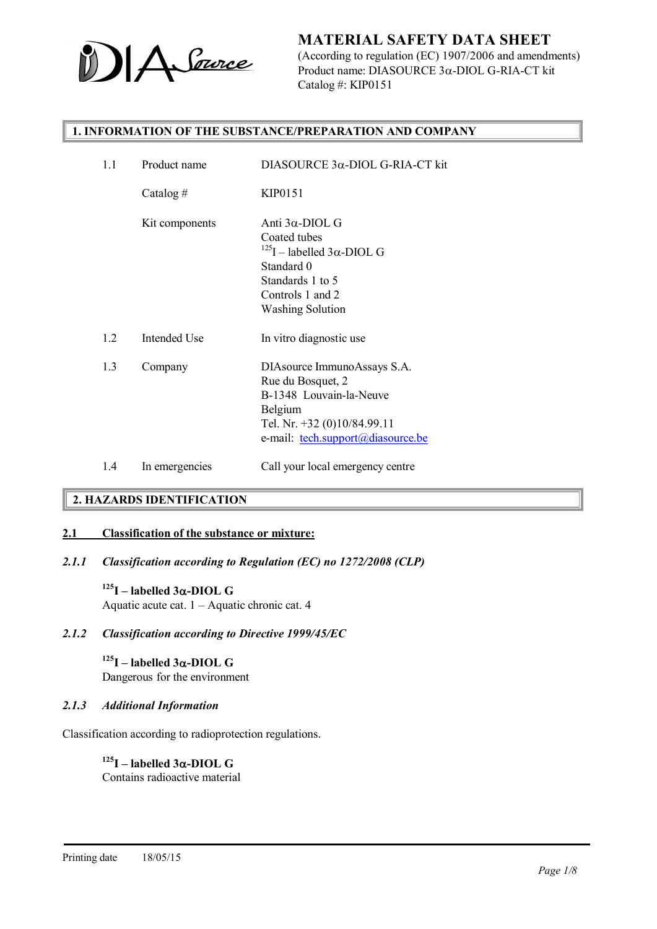

(According to regulation (EC) 1907/2006 and amendments) Product name: DIASOURCE  $3\alpha$ -DIOL G-RIA-CT kit Catalog #: KIP0151

#### 1. INFORMATION OF THE SUBSTANCE/PREPARATION AND COMPANY

# 2. HAZARDS IDENTIFICATION

#### 2.1 Classification of the substance or mixture:

*2.1.1 Classification according to Regulation (EC) no 1272/2008 (CLP)*

 $125$ I – labelled  $3\alpha$ -DIOL G Aquatic acute cat. 1 – Aquatic chronic cat. 4

*2.1.2 Classification according to Directive 1999/45/EC*

 $125$ I – labelled  $3\alpha$ -DIOL G Dangerous for the environment

#### *2.1.3 Additional Information*

Classification according to radioprotection regulations.

 $125$ I – labelled  $3\alpha$ -DIOL G Contains radioactive material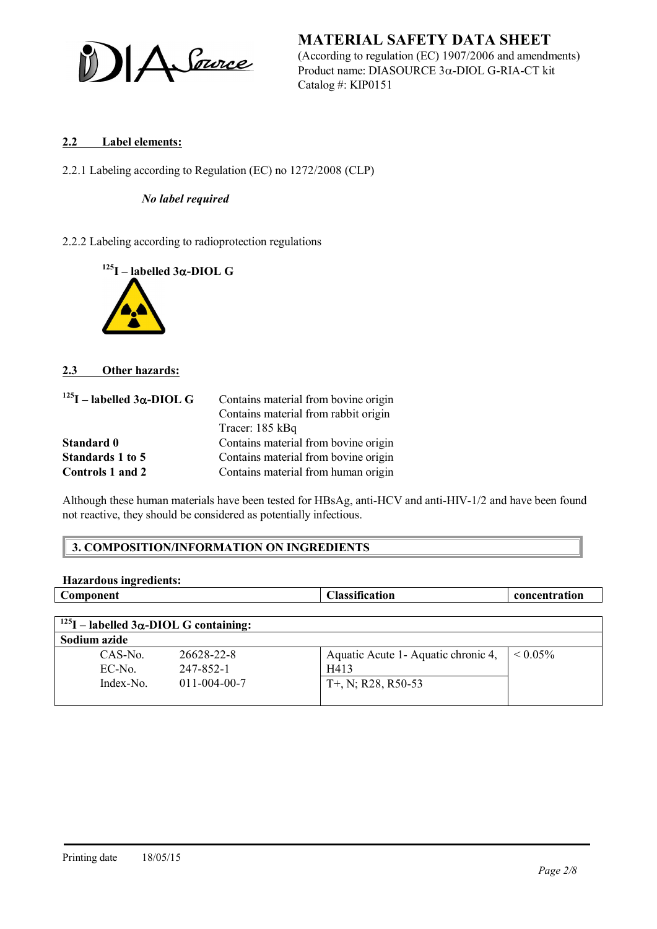A Source

MATERIAL SAFETY DATA SHEET (According to regulation (EC) 1907/2006 and amendments) Product name: DIASOURCE  $3\alpha$ -DIOL G-RIA-CT kit Catalog #: KIP0151

### 2.2 Label elements:

2.2.1 Labeling according to Regulation (EC) no 1272/2008 (CLP)

#### *No label required*

2.2.2 Labeling according to radioprotection regulations



#### 2.3 Other hazards:

| $^{125}$ I – labelled $3\alpha$ -DIOL G | Contains material from bovine origin |
|-----------------------------------------|--------------------------------------|
|                                         | Contains material from rabbit origin |
|                                         | Tracer: 185 kBq                      |
| Standard 0                              | Contains material from bovine origin |
| Standards 1 to 5                        | Contains material from bovine origin |
| Controls 1 and 2                        | Contains material from human origin  |

Although these human materials have been tested for HBsAg, anti-HCV and anti-HIV-1/2 and have been found not reactive, they should be considered as potentially infectious.

#### 3. COMPOSITION/INFORMATION ON INGREDIENTS

| Component                                            |                      | <b>Classification</b>                | concentration      |
|------------------------------------------------------|----------------------|--------------------------------------|--------------------|
|                                                      |                      |                                      |                    |
| $^{125}$ I – labelled 3 $\alpha$ -DIOL G containing: |                      |                                      |                    |
| Sodium azide                                         |                      |                                      |                    |
| CAS-No.                                              | 26628-22-8           | Aquatic Acute 1 - Aquatic chronic 4, | ${}_{\leq 0.05\%}$ |
| EC-No.                                               | 247-852-1            | H413                                 |                    |
| Index-No.                                            | $011 - 004 - 00 - 7$ | $T+$ , N; R28, R50-53                |                    |
|                                                      |                      |                                      |                    |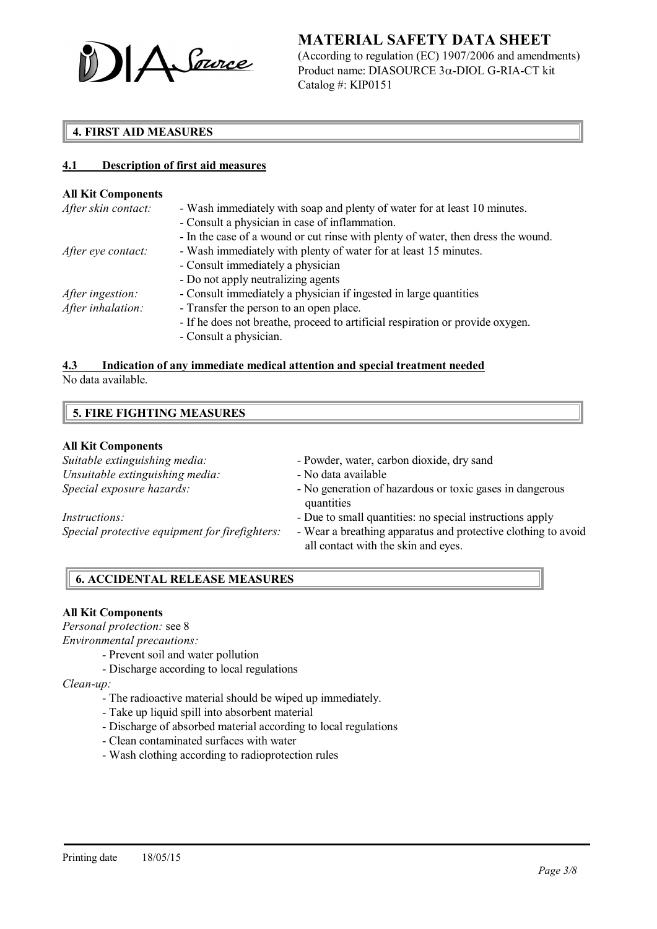

(According to regulation (EC) 1907/2006 and amendments) Product name: DIASOURCE  $3\alpha$ -DIOL G-RIA-CT kit Catalog #: KIP0151

# 4. FIRST AID MEASURES

#### 4.1 Description of first aid measures

#### All Kit Components

| After skin contact:     | - Wash immediately with soap and plenty of water for at least 10 minutes.         |
|-------------------------|-----------------------------------------------------------------------------------|
|                         | - Consult a physician in case of inflammation.                                    |
|                         | - In the case of a wound or cut rinse with plenty of water, then dress the wound. |
| After eye contact:      | - Wash immediately with plenty of water for at least 15 minutes.                  |
|                         | - Consult immediately a physician                                                 |
|                         | - Do not apply neutralizing agents                                                |
| <i>After ingestion:</i> | - Consult immediately a physician if ingested in large quantities                 |
| After inhalation:       | - Transfer the person to an open place.                                           |
|                         | - If he does not breathe, proceed to artificial respiration or provide oxygen.    |
|                         | - Consult a physician.                                                            |

# 4.3 Indication of any immediate medical attention and special treatment needed

No data available.

#### All Kit Components

| Suitable extinguishing media:                  | - Powder, water, carbon dioxide, dry sand                                                            |
|------------------------------------------------|------------------------------------------------------------------------------------------------------|
| Unsuitable extinguishing media:                | - No data available                                                                                  |
| Special exposure hazards:                      | - No generation of hazardous or toxic gases in dangerous<br>quantities                               |
| <i>Instructions:</i>                           | - Due to small quantities: no special instructions apply                                             |
| Special protective equipment for firefighters: | - Wear a breathing apparatus and protective clothing to avoid<br>all contact with the skin and eyes. |

### 6. ACCIDENTAL RELEASE MEASURES

#### All Kit Components

*Personal protection:* see 8

*Environmental precautions:*

- *-* Prevent soil and water pollution
- Discharge according to local regulations

*Clean-up:*

- The radioactive material should be wiped up immediately.
- Take up liquid spill into absorbent material
- Discharge of absorbed material according to local regulations
- Clean contaminated surfaces with water
- Wash clothing according to radioprotection rules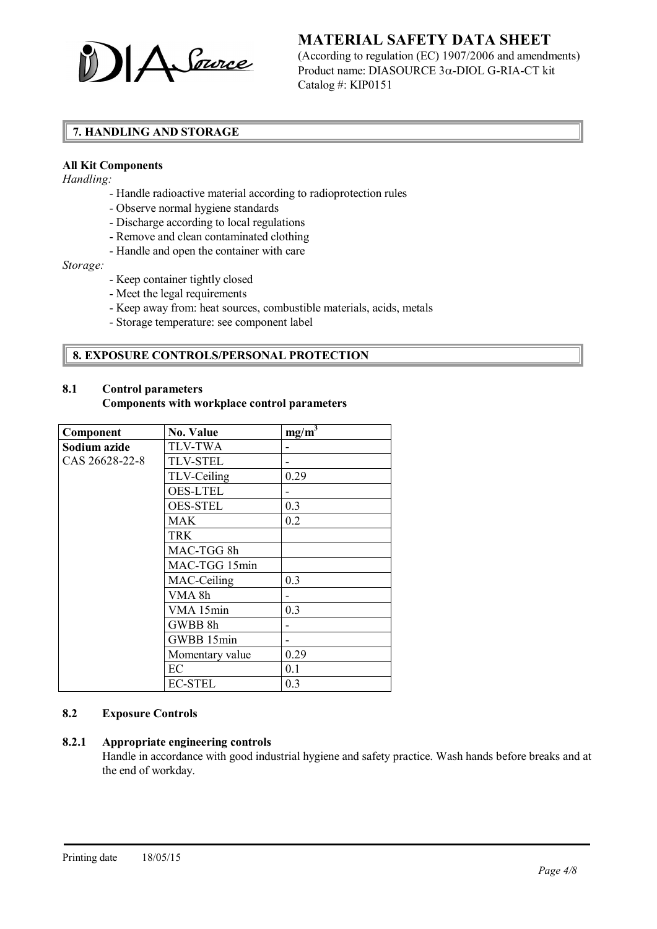

(According to regulation (EC) 1907/2006 and amendments) Product name: DIASOURCE  $3\alpha$ -DIOL G-RIA-CT kit Catalog #: KIP0151

# 7. HANDLING AND STORAGE

#### All Kit Components

*Handling:*

- Handle radioactive material according to radioprotection rules
- Observe normal hygiene standards
- Discharge according to local regulations
- Remove and clean contaminated clothing
- Handle and open the container with care

*Storage:*

- Keep container tightly closed
- Meet the legal requirements
- Keep away from: heat sources, combustible materials, acids, metals
- Storage temperature: see component label

#### 8. EXPOSURE CONTROLS/PERSONAL PROTECTION

# 8.1 Control parameters

#### Components with workplace control parameters

| Component      | No. Value       | $mg/m^3$ |
|----------------|-----------------|----------|
| Sodium azide   | <b>TLV-TWA</b>  |          |
| CAS 26628-22-8 | <b>TLV-STEL</b> |          |
|                | TLV-Ceiling     | 0.29     |
|                | <b>OES-LTEL</b> |          |
|                | <b>OES-STEL</b> | 0.3      |
|                | <b>MAK</b>      | 0.2      |
|                | <b>TRK</b>      |          |
|                | MAC-TGG 8h      |          |
|                | MAC-TGG 15min   |          |
|                | MAC-Ceiling     | 0.3      |
|                | VMA 8h          |          |
|                | VMA 15min       | 0.3      |
|                | GWBB 8h         |          |
|                | GWBB 15min      |          |
|                | Momentary value | 0.29     |
|                | EC              | 0.1      |
|                | <b>EC-STEL</b>  | 0.3      |

#### 8.2 Exposure Controls

#### 8.2.1 Appropriate engineering controls

Handle in accordance with good industrial hygiene and safety practice. Wash hands before breaks and at the end of workday.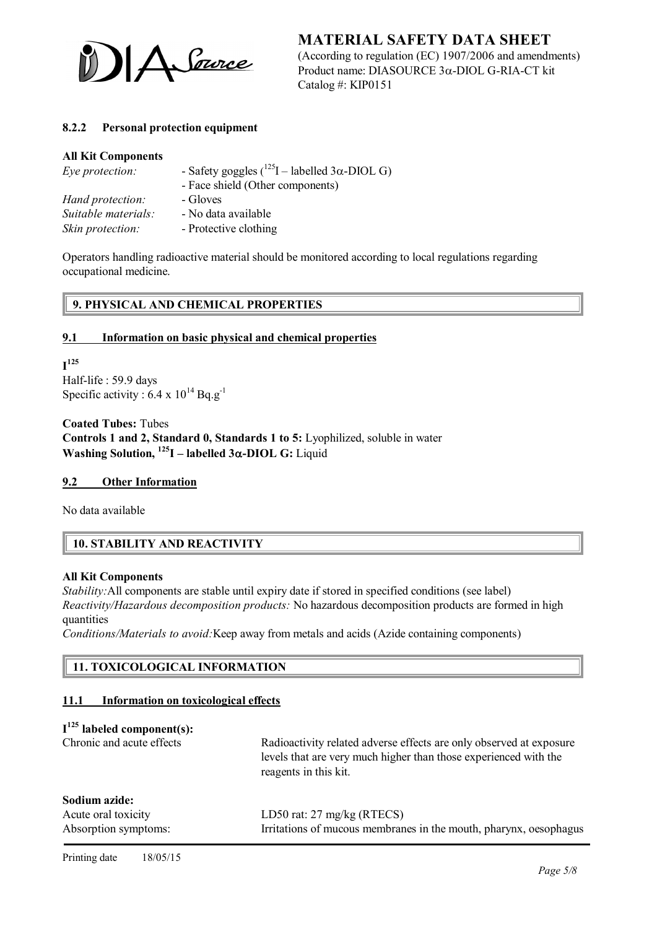

(According to regulation (EC) 1907/2006 and amendments) Product name: DIASOURCE  $3\alpha$ -DIOL G-RIA-CT kit Catalog #: KIP0151

### 8.2.2 Personal protection equipment

#### All Kit Components

| Eye protection:     | - Safety goggles ( $^{125}$ I – labelled 3 $\alpha$ -DIOL G) |
|---------------------|--------------------------------------------------------------|
|                     | - Face shield (Other components)                             |
| Hand protection:    | - Gloves                                                     |
| Suitable materials: | - No data available                                          |
| Skin protection:    | - Protective clothing                                        |

Operators handling radioactive material should be monitored according to local regulations regarding occupational medicine.

### 9. PHYSICAL AND CHEMICAL PROPERTIES

#### 9.1 Information on basic physical and chemical properties

 $\mathbf{I}^{125}$ Half-life : 59.9 days Specific activity :  $6.4 \times 10^{14}$  Bq.g<sup>-1</sup>

Coated Tubes: Tubes Controls 1 and 2, Standard 0, Standards 1 to 5: Lyophilized, soluble in water Washing Solution,  $^{125}I$  – labelled  $3\alpha$ -DIOL G: Liquid

#### 9.2 Other Information

No data available

# 10. STABILITY AND REACTIVITY

#### All Kit Components

*Stability:* All components are stable until expiry date if stored in specified conditions (see label) *Reactivity/Hazardous decomposition products:* No hazardous decomposition products are formed in high quantities

*Conditions/Materials to avoid:*Keep away from metals and acids (Azide containing components)

#### 11. TOXICOLOGICAL INFORMATION

#### 11.1 Information on toxicological effects

### $I^{125}$  labeled component(s):

| Chronic and acute effects                                    | Radioactivity related adverse effects are only observed at exposure<br>levels that are very much higher than those experienced with the<br>reagents in this kit. |
|--------------------------------------------------------------|------------------------------------------------------------------------------------------------------------------------------------------------------------------|
| Sodium azide:<br>Acute oral toxicity<br>Absorption symptoms: | LD50 rat: $27 \text{ mg/kg}$ (RTECS)<br>Irritations of mucous membranes in the mouth, pharynx, oesophagus                                                        |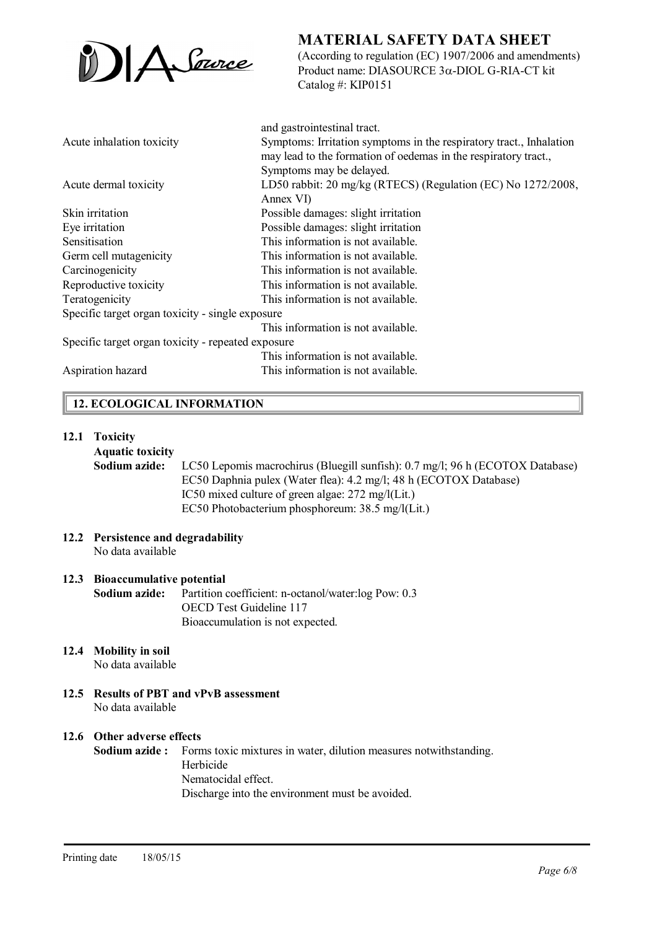

(According to regulation (EC) 1907/2006 and amendments) Product name: DIASOURCE  $3\alpha$ -DIOL G-RIA-CT kit Catalog #: KIP0151

|                                                    | and gastrointestinal tract.                                         |
|----------------------------------------------------|---------------------------------------------------------------------|
| Acute inhalation toxicity                          | Symptoms: Irritation symptoms in the respiratory tract., Inhalation |
|                                                    | may lead to the formation of oedemas in the respiratory tract.,     |
|                                                    | Symptoms may be delayed.                                            |
| Acute dermal toxicity                              | LD50 rabbit: 20 mg/kg (RTECS) (Regulation (EC) No 1272/2008,        |
|                                                    | Annex VI)                                                           |
| Skin irritation                                    | Possible damages: slight irritation                                 |
| Eye irritation                                     | Possible damages: slight irritation                                 |
| Sensitisation                                      | This information is not available.                                  |
| Germ cell mutagenicity                             | This information is not available.                                  |
| Carcinogenicity                                    | This information is not available.                                  |
| Reproductive toxicity                              | This information is not available.                                  |
| Teratogenicity                                     | This information is not available.                                  |
| Specific target organ toxicity - single exposure   |                                                                     |
|                                                    | This information is not available.                                  |
| Specific target organ toxicity - repeated exposure |                                                                     |
|                                                    | This information is not available.                                  |
| Aspiration hazard                                  | This information is not available.                                  |

# 12. ECOLOGICAL INFORMATION

#### 12.1 Toxicity

#### Aquatic toxicity

Sodium azide: LC50 Lepomis macrochirus (Bluegill sunfish): 0.7 mg/l; 96 h (ECOTOX Database) EC50 Daphnia pulex (Water flea): 4.2 mg/l; 48 h (ECOTOX Database) IC50 mixed culture of green algae: 272 mg/l(Lit.) EC50 Photobacterium phosphoreum: 38.5 mg/l(Lit.)

12.2 Persistence and degradability No data available

#### 12.3 Bioaccumulative potential

Sodium azide: Partition coefficient: n-octanol/water:log Pow: 0.3 OECD Test Guideline 117 Bioaccumulation is not expected.

12.4 Mobility in soil

No data available

12.5 Results of PBT and vPvB assessment No data available

#### 12.6 Other adverse effects

Sodium azide : Forms toxic mixtures in water, dilution measures notwithstanding. Herbicide Nematocidal effect. Discharge into the environment must be avoided.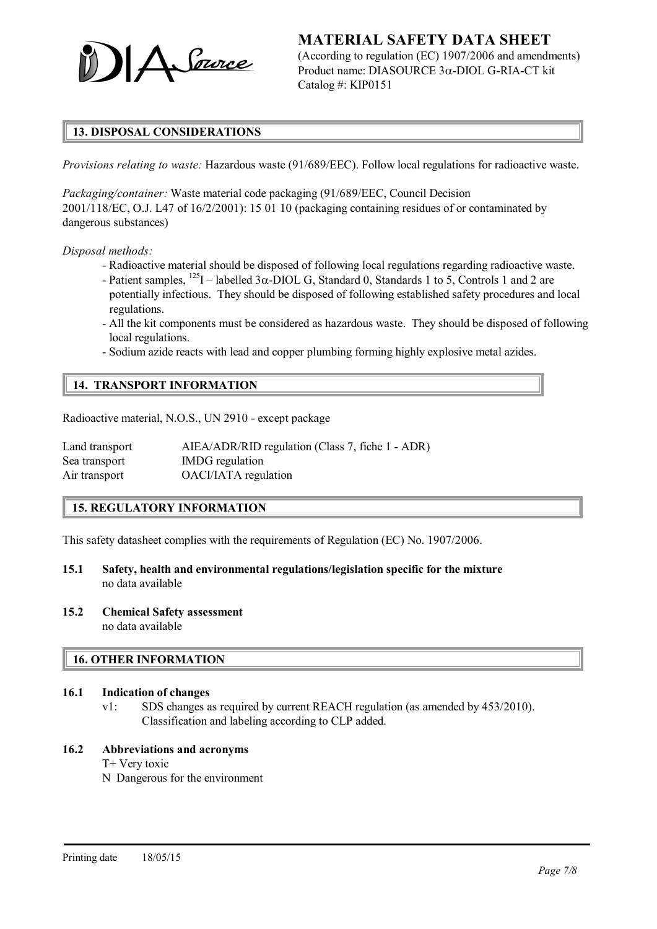

(According to regulation (EC) 1907/2006 and amendments) Product name: DIASOURCE  $3\alpha$ -DIOL G-RIA-CT kit Catalog #: KIP0151

# 13. DISPOSAL CONSIDERATIONS

*Provisions relating to waste:* Hazardous waste (91/689/EEC). Follow local regulations for radioactive waste.

*Packaging/container:* Waste material code packaging (91/689/EEC, Council Decision 2001/118/EC, O.J. L47 of 16/2/2001): 15 01 10 (packaging containing residues of or contaminated by dangerous substances)

*Disposal methods:*

- Radioactive material should be disposed of following local regulations regarding radioactive waste.
- Patient samples,  $^{125}$ I labelled 3 $\alpha$ -DIOL G, Standard 0, Standards 1 to 5, Controls 1 and 2 are potentially infectious. They should be disposed of following established safety procedures and local regulations.
- All the kit components must be considered as hazardous waste. They should be disposed of following local regulations.
- Sodium azide reacts with lead and copper plumbing forming highly explosive metal azides.

#### 14. TRANSPORT INFORMATION

Radioactive material, N.O.S., UN 2910 - except package

| Land transport | AIEA/ADR/RID regulation (Class 7, fiche 1 - ADR) |
|----------------|--------------------------------------------------|
| Sea transport  | IMDG regulation                                  |
| Air transport  | OACI/IATA regulation                             |

#### 15. REGULATORY INFORMATION

This safety datasheet complies with the requirements of Regulation (EC) No. 1907/2006.

- 15.1 Safety, health and environmental regulations/legislation specific for the mixture no data available
- 15.2 Chemical Safety assessment no data available

#### 16. OTHER INFORMATION

#### 16.1 Indication of changes

v1: SDS changes as required by current REACH regulation (as amended by 453/2010). Classification and labeling according to CLP added.

#### 16.2 Abbreviations and acronyms

T+ Very toxic

N Dangerous for the environment